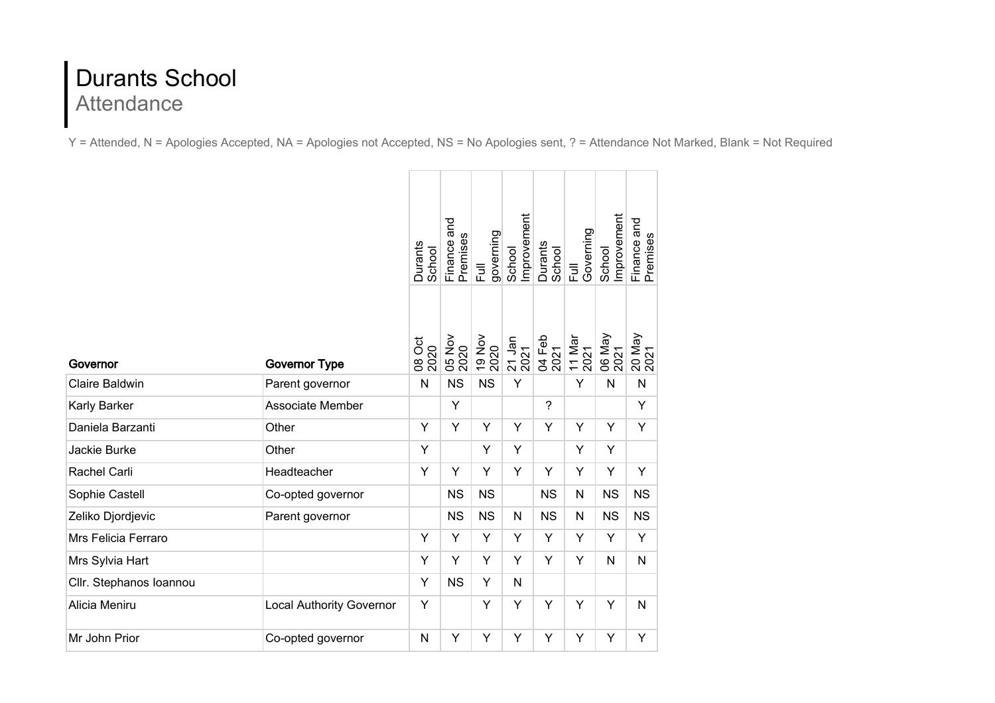## Durants School Attendance

Y = Attended, N = Apologies Accepted, NA = Apologies not Accepted, NS = No Apologies sent, ? = Attendance Not Marked, Blank = Not Required

|                         |                                 | Durants<br>School | Finance and<br>Premises | governing<br>Full | Improvement<br>School | Durants<br>School | Governing<br>$\overline{5}$ | Improvement<br>School | Finance and<br>Premises |
|-------------------------|---------------------------------|-------------------|-------------------------|-------------------|-----------------------|-------------------|-----------------------------|-----------------------|-------------------------|
| Governor                | <b>Governor Type</b>            | 08 Oct<br>2020    | 05 Nov                  | 19 Nov            | 21 Jan<br>2021        | 04 Feb<br>2021    | 11 Mar<br>2021              | 06 May<br>2021        | 20 May<br>2021          |
| <b>Claire Baldwin</b>   | Parent governor                 | N                 | <b>NS</b>               | <b>NS</b>         | Y                     |                   | Y                           | N                     | $\mathsf{N}$            |
| Karly Barker            | Associate Member                |                   | Y                       |                   |                       | $\overline{?}$    |                             |                       | Υ                       |
| Daniela Barzanti        | Other                           | Y                 | Y                       | Y                 | Y                     | Y                 | Y                           | Y                     | Υ                       |
| Jackie Burke            | Other                           | Y                 |                         | Y                 | Y                     |                   | Y                           | Y                     |                         |
| Rachel Carli            | Headteacher                     | Y                 | Y                       | Y                 | Y                     | Y                 | Y                           | Y                     | Y                       |
| Sophie Castell          | Co-opted governor               |                   | <b>NS</b>               | <b>NS</b>         |                       | <b>NS</b>         | $\mathsf{N}$                | <b>NS</b>             | <b>NS</b>               |
| Zeliko Djordjevic       | Parent governor                 |                   | <b>NS</b>               | <b>NS</b>         | N                     | <b>NS</b>         | $\mathsf{N}$                | <b>NS</b>             | <b>NS</b>               |
| Mrs Felicia Ferraro     |                                 | Y                 | Y                       | Y                 | Y                     | Y                 | Y                           | Y                     | Y                       |
| Mrs Sylvia Hart         |                                 | Y                 | Y                       | Y                 | Y                     | Y                 | Y                           | N                     | N                       |
| Cllr. Stephanos Ioannou |                                 | Y                 | <b>NS</b>               | Y                 | N                     |                   |                             |                       |                         |
| Alicia Meniru           | <b>Local Authority Governor</b> | Υ                 |                         | Y                 | Y                     | Υ                 | Υ                           | Y                     | $\mathsf{N}$            |
| Mr John Prior           | Co-opted governor               | N                 | Υ                       | Y                 | Y                     | Y                 | Y                           | Υ                     | Υ                       |